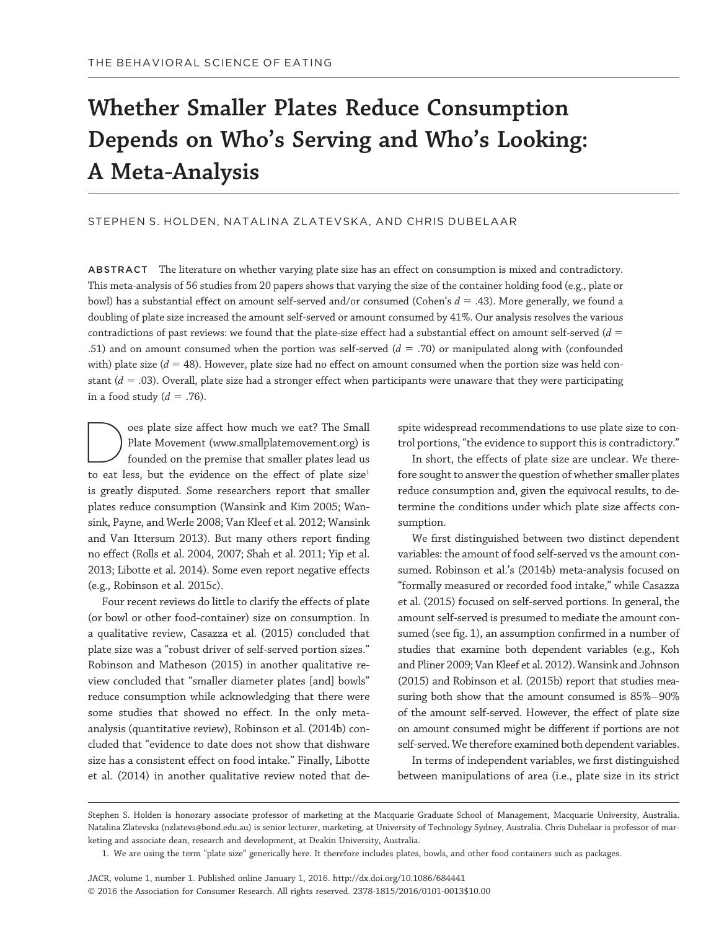# Whether Smaller Plates Reduce Consumption Depends on Who's Serving and Who's Looking: A Meta-Analysis

# STEPHEN S. HOLDEN, NATALINA ZLATEVSKA, AND CHRIS DUBELAAR

ABSTRACT The literature on whether varying plate size has an effect on consumption is mixed and contradictory. This meta-analysis of 56 studies from 20 papers shows that varying the size of the container holding food (e.g., plate or bowl) has a substantial effect on amount self-served and/or consumed (Cohen's  $d = .43$ ). More generally, we found a doubling of plate size increased the amount self-served or amount consumed by 41%. Our analysis resolves the various contradictions of past reviews: we found that the plate-size effect had a substantial effect on amount self-served ( $d =$ .51) and on amount consumed when the portion was self-served ( $d = .70$ ) or manipulated along with (confounded with) plate size  $(d = 48)$ . However, plate size had no effect on amount consumed when the portion size was held constant  $(d = .03)$ . Overall, plate size had a stronger effect when participants were unaware that they were participating in a food study ( $d = .76$ ).

**D** oes plate size affect how much we eat? The Small<br>Plate Movement (www.smallplatemovement.org) is<br>founded on the premise that smaller plates lead us Plate Movement (www.smallplatemovement.org) is to eat less, but the evidence on the effect of plate  $size<sup>1</sup>$ is greatly disputed. Some researchers report that smaller plates reduce consumption (Wansink and Kim 2005; Wansink, Payne, and Werle 2008; Van Kleef et al. 2012; Wansink and Van Ittersum 2013). But many others report finding no effect (Rolls et al. 2004, 2007; Shah et al. 2011; Yip et al. 2013; Libotte et al. 2014). Some even report negative effects (e.g., Robinson et al. 2015c).

Four recent reviews do little to clarify the effects of plate (or bowl or other food-container) size on consumption. In a qualitative review, Casazza et al. (2015) concluded that plate size was a "robust driver of self-served portion sizes." Robinson and Matheson (2015) in another qualitative review concluded that "smaller diameter plates [and] bowls" reduce consumption while acknowledging that there were some studies that showed no effect. In the only metaanalysis (quantitative review), Robinson et al. (2014b) concluded that "evidence to date does not show that dishware size has a consistent effect on food intake." Finally, Libotte et al. (2014) in another qualitative review noted that despite widespread recommendations to use plate size to control portions, "the evidence to support this is contradictory."

In short, the effects of plate size are unclear. We therefore sought to answer the question of whether smaller plates reduce consumption and, given the equivocal results, to determine the conditions under which plate size affects consumption.

We first distinguished between two distinct dependent variables: the amount of food self-served vs the amount consumed. Robinson et al.'s (2014b) meta-analysis focused on "formally measured or recorded food intake," while Casazza et al. (2015) focused on self-served portions. In general, the amount self-served is presumed to mediate the amount consumed (see fig. 1), an assumption confirmed in a number of studies that examine both dependent variables (e.g., Koh and Pliner 2009; Van Kleef et al. 2012). Wansink and Johnson (2015) and Robinson et al. (2015b) report that studies measuring both show that the amount consumed is 85%–90% of the amount self-served. However, the effect of plate size on amount consumed might be different if portions are not self-served. We therefore examined both dependent variables.

In terms of independent variables, we first distinguished between manipulations of area (i.e., plate size in its strict

Stephen S. Holden is honorary associate professor of marketing at the Macquarie Graduate School of Management, Macquarie University, Australia. Natalina Zlatevska (nzlatevs@bond.edu.au) is senior lecturer, marketing, at University of Technology Sydney, Australia. Chris Dubelaar is professor of marketing and associate dean, research and development, at Deakin University, Australia.

<sup>1.</sup> We are using the term "plate size" generically here. It therefore includes plates, bowls, and other food containers such as packages.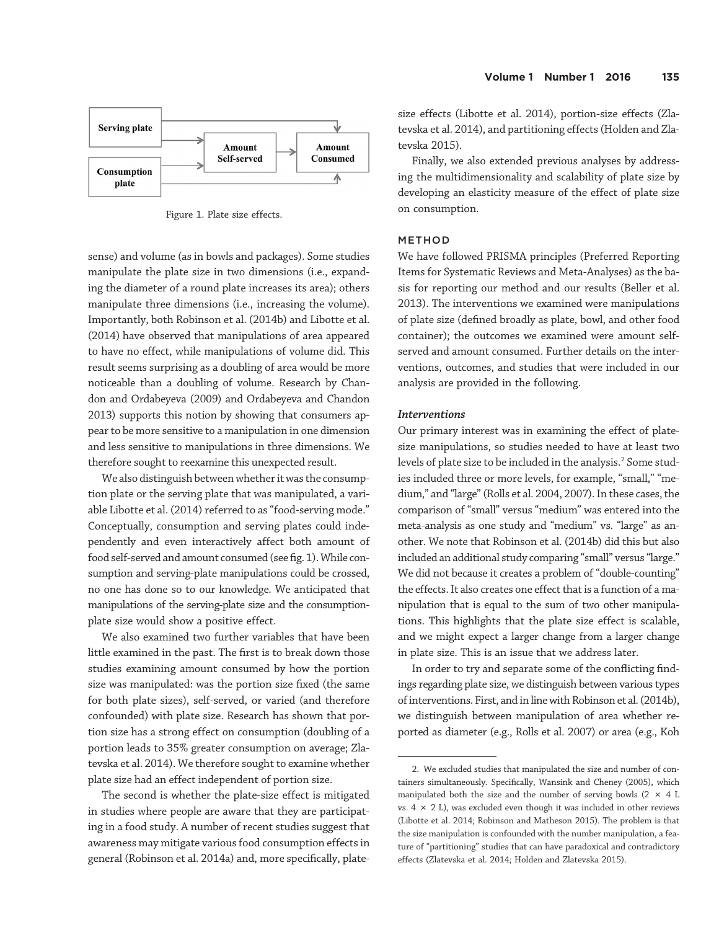

Figure 1. Plate size effects.

sense) and volume (as in bowls and packages). Some studies manipulate the plate size in two dimensions (i.e., expanding the diameter of a round plate increases its area); others manipulate three dimensions (i.e., increasing the volume). Importantly, both Robinson et al. (2014b) and Libotte et al. (2014) have observed that manipulations of area appeared to have no effect, while manipulations of volume did. This result seems surprising as a doubling of area would be more noticeable than a doubling of volume. Research by Chandon and Ordabeyeva (2009) and Ordabeyeva and Chandon 2013) supports this notion by showing that consumers appear to be more sensitive to a manipulation in one dimension and less sensitive to manipulations in three dimensions. We therefore sought to reexamine this unexpected result.

We also distinguish between whether it was the consumption plate or the serving plate that was manipulated, a variable Libotte et al. (2014) referred to as "food-serving mode." Conceptually, consumption and serving plates could independently and even interactively affect both amount of food self-served and amount consumed (see fig. 1).While consumption and serving-plate manipulations could be crossed, no one has done so to our knowledge. We anticipated that manipulations of the serving-plate size and the consumptionplate size would show a positive effect.

We also examined two further variables that have been little examined in the past. The first is to break down those studies examining amount consumed by how the portion size was manipulated: was the portion size fixed (the same for both plate sizes), self-served, or varied (and therefore confounded) with plate size. Research has shown that portion size has a strong effect on consumption (doubling of a portion leads to 35% greater consumption on average; Zlatevska et al. 2014). We therefore sought to examine whether plate size had an effect independent of portion size.

The second is whether the plate-size effect is mitigated in studies where people are aware that they are participating in a food study. A number of recent studies suggest that awareness may mitigate various food consumption effects in general (Robinson et al. 2014a) and, more specifically, platesize effects (Libotte et al. 2014), portion-size effects (Zlatevska et al. 2014), and partitioning effects (Holden and Zlatevska 2015).

Finally, we also extended previous analyses by addressing the multidimensionality and scalability of plate size by developing an elasticity measure of the effect of plate size on consumption.

#### METHOD

We have followed PRISMA principles (Preferred Reporting Items for Systematic Reviews and Meta-Analyses) as the basis for reporting our method and our results (Beller et al. 2013). The interventions we examined were manipulations of plate size (defined broadly as plate, bowl, and other food container); the outcomes we examined were amount selfserved and amount consumed. Further details on the interventions, outcomes, and studies that were included in our analysis are provided in the following.

### Interventions

Our primary interest was in examining the effect of platesize manipulations, so studies needed to have at least two levels of plate size to be included in the analysis.<sup>2</sup> Some studies included three or more levels, for example, "small," "medium," and "large"(Rolls et al. 2004, 2007). In these cases, the comparison of "small" versus "medium" was entered into the meta-analysis as one study and "medium" vs. "large" as another. We note that Robinson et al. (2014b) did this but also included an additional study comparing "small" versus "large." We did not because it creates a problem of "double-counting" the effects. It also creates one effect that is a function of a manipulation that is equal to the sum of two other manipulations. This highlights that the plate size effect is scalable, and we might expect a larger change from a larger change in plate size. This is an issue that we address later.

In order to try and separate some of the conflicting findings regarding plate size, we distinguish between various types of interventions. First, and in line with Robinson et al. (2014b), we distinguish between manipulation of area whether reported as diameter (e.g., Rolls et al. 2007) or area (e.g., Koh

<sup>2.</sup> We excluded studies that manipulated the size and number of containers simultaneously. Specifically, Wansink and Cheney (2005), which manipulated both the size and the number of serving bowls  $(2 \times 4 \text{ L})$ vs. 4  $\times$  2 L), was excluded even though it was included in other reviews (Libotte et al. 2014; Robinson and Matheson 2015). The problem is that the size manipulation is confounded with the number manipulation, a feature of "partitioning" studies that can have paradoxical and contradictory effects (Zlatevska et al. 2014; Holden and Zlatevska 2015).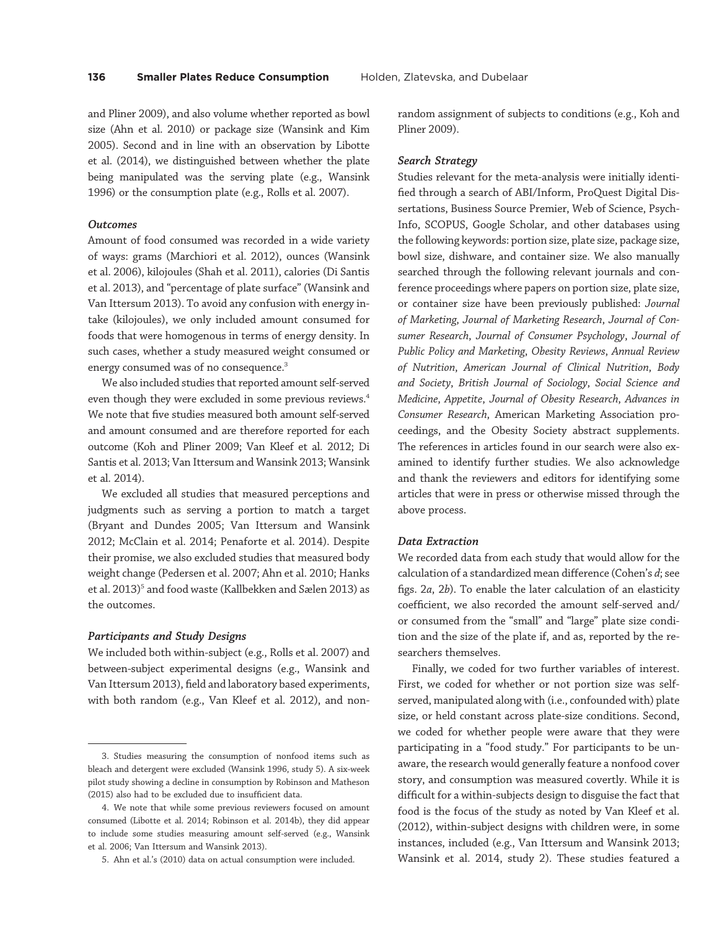#### 136 Smaller Plates Reduce Consumption Holden, Zlatevska, and Dubelaar

and Pliner 2009), and also volume whether reported as bowl size (Ahn et al. 2010) or package size (Wansink and Kim 2005). Second and in line with an observation by Libotte et al. (2014), we distinguished between whether the plate being manipulated was the serving plate (e.g., Wansink 1996) or the consumption plate (e.g., Rolls et al. 2007).

# **Outcomes**

Amount of food consumed was recorded in a wide variety of ways: grams (Marchiori et al. 2012), ounces (Wansink et al. 2006), kilojoules (Shah et al. 2011), calories (Di Santis et al. 2013), and "percentage of plate surface" (Wansink and Van Ittersum 2013). To avoid any confusion with energy intake (kilojoules), we only included amount consumed for foods that were homogenous in terms of energy density. In such cases, whether a study measured weight consumed or energy consumed was of no consequence.<sup>3</sup>

We also included studies that reported amount self-served even though they were excluded in some previous reviews.<sup>4</sup> We note that five studies measured both amount self-served and amount consumed and are therefore reported for each outcome (Koh and Pliner 2009; Van Kleef et al. 2012; Di Santis et al. 2013; Van Ittersum and Wansink 2013; Wansink et al. 2014).

We excluded all studies that measured perceptions and judgments such as serving a portion to match a target (Bryant and Dundes 2005; Van Ittersum and Wansink 2012; McClain et al. 2014; Penaforte et al. 2014). Despite their promise, we also excluded studies that measured body weight change (Pedersen et al. 2007; Ahn et al. 2010; Hanks et al. 2013)<sup>5</sup> and food waste (Kallbekken and Sælen 2013) as the outcomes.

# Participants and Study Designs

We included both within-subject (e.g., Rolls et al. 2007) and between-subject experimental designs (e.g., Wansink and Van Ittersum 2013), field and laboratory based experiments, with both random (e.g., Van Kleef et al. 2012), and nonrandom assignment of subjects to conditions (e.g., Koh and Pliner 2009).

#### Search Strategy

Studies relevant for the meta-analysis were initially identified through a search of ABI/Inform, ProQuest Digital Dissertations, Business Source Premier, Web of Science, Psych-Info, SCOPUS, Google Scholar, and other databases using the following keywords: portion size, plate size, package size, bowl size, dishware, and container size. We also manually searched through the following relevant journals and conference proceedings where papers on portion size, plate size, or container size have been previously published: Journal of Marketing, Journal of Marketing Research, Journal of Consumer Research, Journal of Consumer Psychology, Journal of Public Policy and Marketing, Obesity Reviews, Annual Review of Nutrition, American Journal of Clinical Nutrition, Body and Society, British Journal of Sociology, Social Science and Medicine, Appetite, Journal of Obesity Research, Advances in Consumer Research, American Marketing Association proceedings, and the Obesity Society abstract supplements. The references in articles found in our search were also examined to identify further studies. We also acknowledge and thank the reviewers and editors for identifying some articles that were in press or otherwise missed through the above process.

### Data Extraction

We recorded data from each study that would allow for the calculation of a standardized mean difference (Cohen's d; see figs. 2a, 2b). To enable the later calculation of an elasticity coefficient, we also recorded the amount self-served and/ or consumed from the "small" and "large" plate size condition and the size of the plate if, and as, reported by the researchers themselves.

Finally, we coded for two further variables of interest. First, we coded for whether or not portion size was selfserved, manipulated along with (i.e., confounded with) plate size, or held constant across plate-size conditions. Second, we coded for whether people were aware that they were participating in a "food study." For participants to be unaware, the research would generally feature a nonfood cover story, and consumption was measured covertly. While it is difficult for a within-subjects design to disguise the fact that food is the focus of the study as noted by Van Kleef et al. (2012), within-subject designs with children were, in some instances, included (e.g., Van Ittersum and Wansink 2013; Wansink et al. 2014, study 2). These studies featured a

<sup>3.</sup> Studies measuring the consumption of nonfood items such as bleach and detergent were excluded (Wansink 1996, study 5). A six-week pilot study showing a decline in consumption by Robinson and Matheson (2015) also had to be excluded due to insufficient data.

<sup>4.</sup> We note that while some previous reviewers focused on amount consumed (Libotte et al. 2014; Robinson et al. 2014b), they did appear to include some studies measuring amount self-served (e.g., Wansink et al. 2006; Van Ittersum and Wansink 2013).

<sup>5.</sup> Ahn et al.'s (2010) data on actual consumption were included.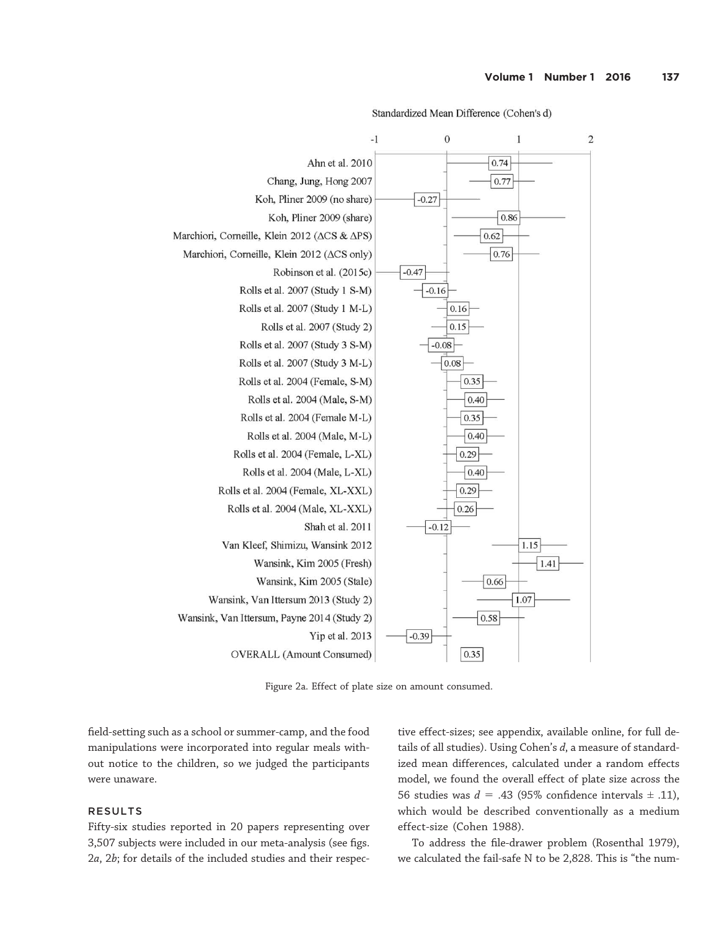

Standardized Mean Difference (Cohen's d)

Figure 2a. Effect of plate size on amount consumed.

field-setting such as a school or summer-camp, and the food manipulations were incorporated into regular meals without notice to the children, so we judged the participants were unaware.

# RESULTS

Fifty-six studies reported in 20 papers representing over 3,507 subjects were included in our meta-analysis (see figs. 2a, 2b; for details of the included studies and their respective effect-sizes; see appendix, available online, for full details of all studies). Using Cohen's d, a measure of standardized mean differences, calculated under a random effects model, we found the overall effect of plate size across the 56 studies was  $d = .43$  (95% confidence intervals  $\pm$  .11), which would be described conventionally as a medium effect-size (Cohen 1988).

To address the file-drawer problem (Rosenthal 1979), we calculated the fail-safe N to be 2,828. This is "the num-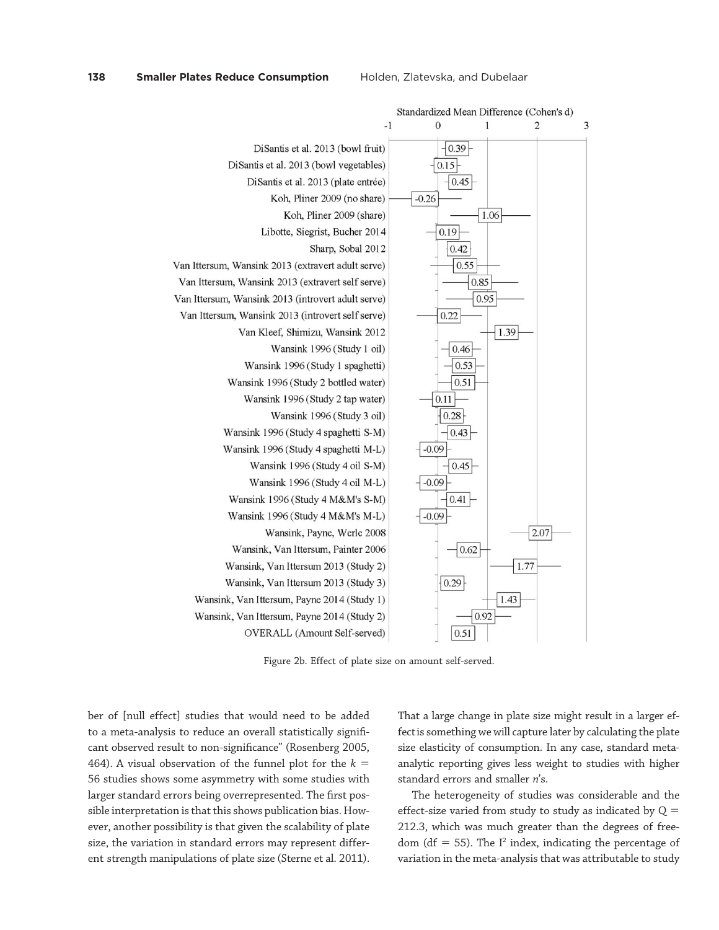

Standardized Mean Difference (Cohen's d)

Figure 2b. Effect of plate size on amount self-served.

ber of [null effect] studies that would need to be added to a meta-analysis to reduce an overall statistically significant observed result to non-significance" (Rosenberg 2005, 464). A visual observation of the funnel plot for the  $k =$ 56 studies shows some asymmetry with some studies with larger standard errors being overrepresented. The first possible interpretation is that this shows publication bias. However, another possibility is that given the scalability of plate size, the variation in standard errors may represent different strength manipulations of plate size (Sterne et al. 2011).

That a large change in plate size might result in a larger effectis something we will capture later by calculating the plate size elasticity of consumption. In any case, standard metaanalytic reporting gives less weight to studies with higher standard errors and smaller n's.

The heterogeneity of studies was considerable and the effect-size varied from study to study as indicated by  $Q =$ 212.3, which was much greater than the degrees of freedom (df = 55). The  $I^2$  index, indicating the percentage of variation in the meta-analysis that was attributable to study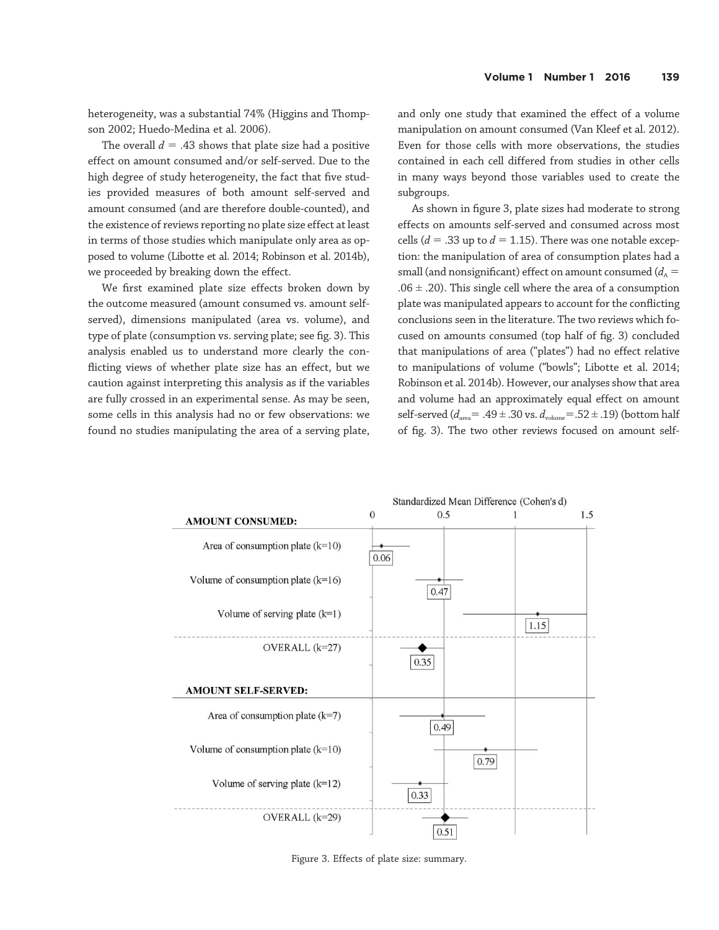heterogeneity, was a substantial 74% (Higgins and Thompson 2002; Huedo-Medina et al. 2006).

The overall  $d = .43$  shows that plate size had a positive effect on amount consumed and/or self-served. Due to the high degree of study heterogeneity, the fact that five studies provided measures of both amount self-served and amount consumed (and are therefore double-counted), and the existence of reviews reporting no plate size effect at least in terms of those studies which manipulate only area as opposed to volume (Libotte et al. 2014; Robinson et al. 2014b), we proceeded by breaking down the effect.

We first examined plate size effects broken down by the outcome measured (amount consumed vs. amount selfserved), dimensions manipulated (area vs. volume), and type of plate (consumption vs. serving plate; see fig. 3). This analysis enabled us to understand more clearly the conflicting views of whether plate size has an effect, but we caution against interpreting this analysis as if the variables are fully crossed in an experimental sense. As may be seen, some cells in this analysis had no or few observations: we found no studies manipulating the area of a serving plate, and only one study that examined the effect of a volume manipulation on amount consumed (Van Kleef et al. 2012). Even for those cells with more observations, the studies contained in each cell differed from studies in other cells in many ways beyond those variables used to create the subgroups.

As shown in figure 3, plate sizes had moderate to strong effects on amounts self-served and consumed across most cells ( $d = .33$  up to  $d = 1.15$ ). There was one notable exception: the manipulation of area of consumption plates had a small (and nonsignificant) effect on amount consumed ( $d_A$  =  $.06 \pm .20$ ). This single cell where the area of a consumption plate was manipulated appears to account for the conflicting conclusions seen in the literature. The two reviews which focused on amounts consumed (top half of fig. 3) concluded that manipulations of area ("plates") had no effect relative to manipulations of volume ("bowls"; Libotte et al. 2014; Robinson et al. 2014b). However, our analyses show that area and volume had an approximately equal effect on amount self-served ( $d_{area} = .49 \pm .30$  vs.  $d_{volume} = .52 \pm .19$ ) (bottom half of fig. 3). The two other reviews focused on amount self-



Figure 3. Effects of plate size: summary.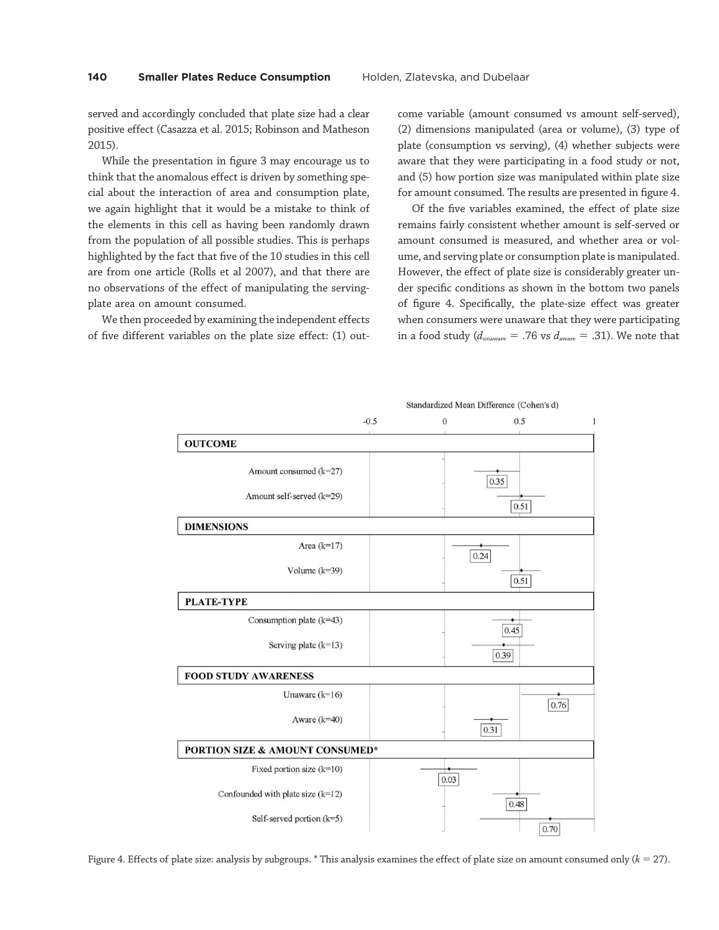served and accordingly concluded that plate size had a clear positive effect (Casazza et al. 2015; Robinson and Matheson 2015).

While the presentation in figure 3 may encourage us to think that the anomalous effect is driven by something special about the interaction of area and consumption plate, we again highlight that it would be a mistake to think of the elements in this cell as having been randomly drawn from the population of all possible studies. This is perhaps highlighted by the fact that five of the 10 studies in this cell are from one article (Rolls et al 2007), and that there are no observations of the effect of manipulating the servingplate area on amount consumed.

We then proceeded by examining the independent effects of five different variables on the plate size effect: (1) outcome variable (amount consumed vs amount self-served), (2) dimensions manipulated (area or volume), (3) type of plate (consumption vs serving), (4) whether subjects were aware that they were participating in a food study or not, and (5) how portion size was manipulated within plate size for amount consumed. The results are presented in figure 4.

Of the five variables examined, the effect of plate size remains fairly consistent whether amount is self-served or amount consumed is measured, and whether area or volume, and serving plate or consumption plate is manipulated. However, the effect of plate size is considerably greater under specific conditions as shown in the bottom two panels of figure 4. Specifically, the plate-size effect was greater when consumers were unaware that they were participating in a food study ( $d_{\text{unaware}} = .76$  vs  $d_{\text{aware}} = .31$ ). We note that



Figure 4. Effects of plate size: analysis by subgroups. \* This analysis examines the effect of plate size on amount consumed only  $(k = 27)$ .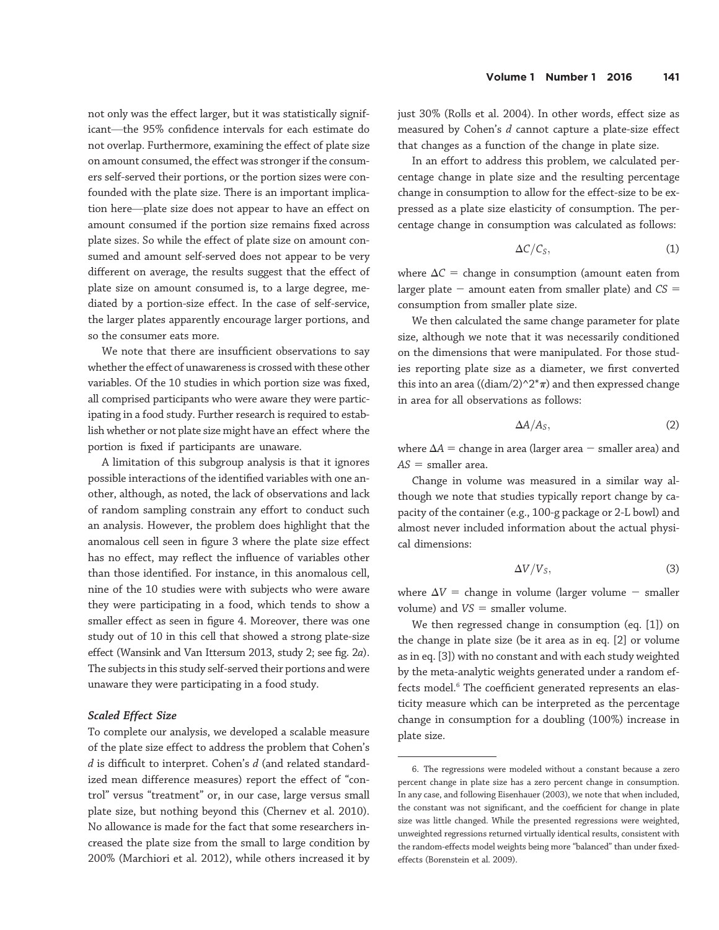not only was the effect larger, but it was statistically significant—the 95% confidence intervals for each estimate do not overlap. Furthermore, examining the effect of plate size on amount consumed, the effect was stronger if the consumers self-served their portions, or the portion sizes were confounded with the plate size. There is an important implication here—plate size does not appear to have an effect on amount consumed if the portion size remains fixed across plate sizes. So while the effect of plate size on amount consumed and amount self-served does not appear to be very different on average, the results suggest that the effect of plate size on amount consumed is, to a large degree, mediated by a portion-size effect. In the case of self-service, the larger plates apparently encourage larger portions, and so the consumer eats more.

We note that there are insufficient observations to say whether the effect of unawareness is crossed with these other variables. Of the 10 studies in which portion size was fixed, all comprised participants who were aware they were participating in a food study. Further research is required to establish whether or not plate size might have an effect where the portion is fixed if participants are unaware.

A limitation of this subgroup analysis is that it ignores possible interactions of the identified variables with one another, although, as noted, the lack of observations and lack of random sampling constrain any effort to conduct such an analysis. However, the problem does highlight that the anomalous cell seen in figure 3 where the plate size effect has no effect, may reflect the influence of variables other than those identified. For instance, in this anomalous cell, nine of the 10 studies were with subjects who were aware they were participating in a food, which tends to show a smaller effect as seen in figure 4. Moreover, there was one study out of 10 in this cell that showed a strong plate-size effect (Wansink and Van Ittersum 2013, study 2; see fig. 2a). The subjects in this study self-served their portions and were unaware they were participating in a food study.

# Scaled Effect Size

To complete our analysis, we developed a scalable measure of the plate size effect to address the problem that Cohen's d is difficult to interpret. Cohen's d (and related standardized mean difference measures) report the effect of "control" versus "treatment" or, in our case, large versus small plate size, but nothing beyond this (Chernev et al. 2010). No allowance is made for the fact that some researchers increased the plate size from the small to large condition by 200% (Marchiori et al. 2012), while others increased it by just 30% (Rolls et al. 2004). In other words, effect size as measured by Cohen's d cannot capture a plate-size effect that changes as a function of the change in plate size.

In an effort to address this problem, we calculated percentage change in plate size and the resulting percentage change in consumption to allow for the effect-size to be expressed as a plate size elasticity of consumption. The percentage change in consumption was calculated as follows:

$$
\Delta C/C_S, \tag{1}
$$

where  $\Delta C$  = change in consumption (amount eaten from larger plate  $-$  amount eaten from smaller plate) and  $CS =$ consumption from smaller plate size.

We then calculated the same change parameter for plate size, although we note that it was necessarily conditioned on the dimensions that were manipulated. For those studies reporting plate size as a diameter, we first converted this into an area ((diam/2)^2\* $\pi$ ) and then expressed change in area for all observations as follows:

$$
\Delta A/A_S, \tag{2}
$$

where  $\Delta A$  = change in area (larger area - smaller area) and  $AS = smaller area$ .

Change in volume was measured in a similar way although we note that studies typically report change by capacity of the container (e.g., 100-g package or 2-L bowl) and almost never included information about the actual physical dimensions:

$$
\Delta V/V_S, \tag{3}
$$

where  $\Delta V =$  change in volume (larger volume – smaller volume) and  $VS =$  smaller volume.

We then regressed change in consumption (eq. [1]) on the change in plate size (be it area as in eq. [2] or volume as in eq. [3]) with no constant and with each study weighted by the meta-analytic weights generated under a random effects model.<sup>6</sup> The coefficient generated represents an elasticity measure which can be interpreted as the percentage change in consumption for a doubling (100%) increase in plate size.

<sup>6.</sup> The regressions were modeled without a constant because a zero percent change in plate size has a zero percent change in consumption. In any case, and following Eisenhauer (2003), we note that when included, the constant was not significant, and the coefficient for change in plate size was little changed. While the presented regressions were weighted, unweighted regressions returned virtually identical results, consistent with the random-effects model weights being more "balanced" than under fixedeffects (Borenstein et al. 2009).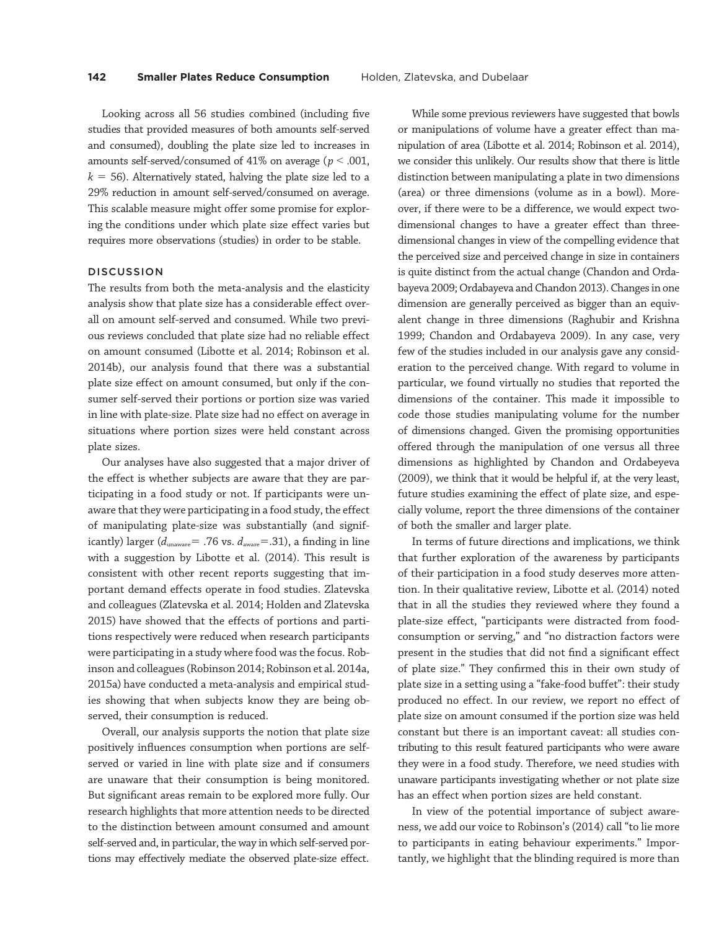#### 142 Smaller Plates Reduce Consumption Holden, Zlatevska, and Dubelaar

Looking across all 56 studies combined (including five studies that provided measures of both amounts self-served and consumed), doubling the plate size led to increases in amounts self-served/consumed of 41% on average ( $p < .001$ ,  $k = 56$ ). Alternatively stated, halving the plate size led to a 29% reduction in amount self-served/consumed on average. This scalable measure might offer some promise for exploring the conditions under which plate size effect varies but requires more observations (studies) in order to be stable.

# **DISCUSSION**

The results from both the meta-analysis and the elasticity analysis show that plate size has a considerable effect overall on amount self-served and consumed. While two previous reviews concluded that plate size had no reliable effect on amount consumed (Libotte et al. 2014; Robinson et al. 2014b), our analysis found that there was a substantial plate size effect on amount consumed, but only if the consumer self-served their portions or portion size was varied in line with plate-size. Plate size had no effect on average in situations where portion sizes were held constant across plate sizes.

Our analyses have also suggested that a major driver of the effect is whether subjects are aware that they are participating in a food study or not. If participants were unaware that they were participating in a food study, the effect of manipulating plate-size was substantially (and significantly) larger ( $d_{\text{unaware}}$ = .76 vs.  $d_{\text{aware}}$ =.31), a finding in line with a suggestion by Libotte et al. (2014). This result is consistent with other recent reports suggesting that important demand effects operate in food studies. Zlatevska and colleagues (Zlatevska et al. 2014; Holden and Zlatevska 2015) have showed that the effects of portions and partitions respectively were reduced when research participants were participating in a study where food was the focus. Robinson and colleagues (Robinson 2014; Robinson et al. 2014a, 2015a) have conducted a meta-analysis and empirical studies showing that when subjects know they are being observed, their consumption is reduced.

Overall, our analysis supports the notion that plate size positively influences consumption when portions are selfserved or varied in line with plate size and if consumers are unaware that their consumption is being monitored. But significant areas remain to be explored more fully. Our research highlights that more attention needs to be directed to the distinction between amount consumed and amount self-served and, in particular, the way in which self-served portions may effectively mediate the observed plate-size effect.

While some previous reviewers have suggested that bowls or manipulations of volume have a greater effect than manipulation of area (Libotte et al. 2014; Robinson et al. 2014), we consider this unlikely. Our results show that there is little distinction between manipulating a plate in two dimensions (area) or three dimensions (volume as in a bowl). Moreover, if there were to be a difference, we would expect twodimensional changes to have a greater effect than threedimensional changes in view of the compelling evidence that the perceived size and perceived change in size in containers is quite distinct from the actual change (Chandon and Ordabayeva 2009; Ordabayeva and Chandon 2013). Changes in one dimension are generally perceived as bigger than an equivalent change in three dimensions (Raghubir and Krishna 1999; Chandon and Ordabayeva 2009). In any case, very few of the studies included in our analysis gave any consideration to the perceived change. With regard to volume in particular, we found virtually no studies that reported the dimensions of the container. This made it impossible to code those studies manipulating volume for the number of dimensions changed. Given the promising opportunities offered through the manipulation of one versus all three dimensions as highlighted by Chandon and Ordabeyeva (2009), we think that it would be helpful if, at the very least, future studies examining the effect of plate size, and especially volume, report the three dimensions of the container of both the smaller and larger plate.

In terms of future directions and implications, we think that further exploration of the awareness by participants of their participation in a food study deserves more attention. In their qualitative review, Libotte et al. (2014) noted that in all the studies they reviewed where they found a plate-size effect, "participants were distracted from foodconsumption or serving," and "no distraction factors were present in the studies that did not find a significant effect of plate size." They confirmed this in their own study of plate size in a setting using a "fake-food buffet": their study produced no effect. In our review, we report no effect of plate size on amount consumed if the portion size was held constant but there is an important caveat: all studies contributing to this result featured participants who were aware they were in a food study. Therefore, we need studies with unaware participants investigating whether or not plate size has an effect when portion sizes are held constant.

In view of the potential importance of subject awareness, we add our voice to Robinson's (2014) call "to lie more to participants in eating behaviour experiments." Importantly, we highlight that the blinding required is more than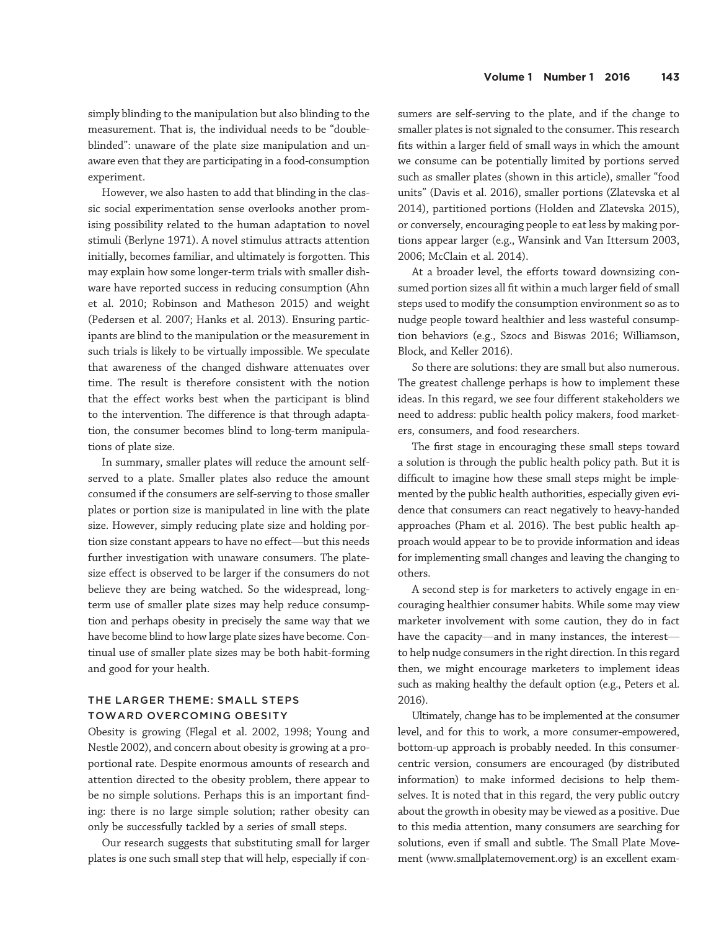simply blinding to the manipulation but also blinding to the measurement. That is, the individual needs to be "doubleblinded": unaware of the plate size manipulation and unaware even that they are participating in a food-consumption experiment.

However, we also hasten to add that blinding in the classic social experimentation sense overlooks another promising possibility related to the human adaptation to novel stimuli (Berlyne 1971). A novel stimulus attracts attention initially, becomes familiar, and ultimately is forgotten. This may explain how some longer-term trials with smaller dishware have reported success in reducing consumption (Ahn et al. 2010; Robinson and Matheson 2015) and weight (Pedersen et al. 2007; Hanks et al. 2013). Ensuring participants are blind to the manipulation or the measurement in such trials is likely to be virtually impossible. We speculate that awareness of the changed dishware attenuates over time. The result is therefore consistent with the notion that the effect works best when the participant is blind to the intervention. The difference is that through adaptation, the consumer becomes blind to long-term manipulations of plate size.

In summary, smaller plates will reduce the amount selfserved to a plate. Smaller plates also reduce the amount consumed if the consumers are self-serving to those smaller plates or portion size is manipulated in line with the plate size. However, simply reducing plate size and holding portion size constant appears to have no effect—but this needs further investigation with unaware consumers. The platesize effect is observed to be larger if the consumers do not believe they are being watched. So the widespread, longterm use of smaller plate sizes may help reduce consumption and perhaps obesity in precisely the same way that we have become blind to how large plate sizes have become. Continual use of smaller plate sizes may be both habit-forming and good for your health.

# THE LARGER THEME: SMALL STEPS TOWARD OVERCOMING OBESITY

Obesity is growing (Flegal et al. 2002, 1998; Young and Nestle 2002), and concern about obesity is growing at a proportional rate. Despite enormous amounts of research and attention directed to the obesity problem, there appear to be no simple solutions. Perhaps this is an important finding: there is no large simple solution; rather obesity can only be successfully tackled by a series of small steps.

Our research suggests that substituting small for larger plates is one such small step that will help, especially if consumers are self-serving to the plate, and if the change to smaller plates is not signaled to the consumer. This research fits within a larger field of small ways in which the amount we consume can be potentially limited by portions served such as smaller plates (shown in this article), smaller "food units" (Davis et al. 2016), smaller portions (Zlatevska et al 2014), partitioned portions (Holden and Zlatevska 2015), or conversely, encouraging people to eat less by making portions appear larger (e.g., Wansink and Van Ittersum 2003, 2006; McClain et al. 2014).

At a broader level, the efforts toward downsizing consumed portion sizes all fit within a much larger field of small steps used to modify the consumption environment so as to nudge people toward healthier and less wasteful consumption behaviors (e.g., Szocs and Biswas 2016; Williamson, Block, and Keller 2016).

So there are solutions: they are small but also numerous. The greatest challenge perhaps is how to implement these ideas. In this regard, we see four different stakeholders we need to address: public health policy makers, food marketers, consumers, and food researchers.

The first stage in encouraging these small steps toward a solution is through the public health policy path. But it is difficult to imagine how these small steps might be implemented by the public health authorities, especially given evidence that consumers can react negatively to heavy-handed approaches (Pham et al. 2016). The best public health approach would appear to be to provide information and ideas for implementing small changes and leaving the changing to others.

A second step is for marketers to actively engage in encouraging healthier consumer habits. While some may view marketer involvement with some caution, they do in fact have the capacity—and in many instances, the interest to help nudge consumers in the right direction. In this regard then, we might encourage marketers to implement ideas such as making healthy the default option (e.g., Peters et al. 2016).

Ultimately, change has to be implemented at the consumer level, and for this to work, a more consumer-empowered, bottom-up approach is probably needed. In this consumercentric version, consumers are encouraged (by distributed information) to make informed decisions to help themselves. It is noted that in this regard, the very public outcry about the growth in obesity may be viewed as a positive. Due to this media attention, many consumers are searching for solutions, even if small and subtle. The Small Plate Movement (www.smallplatemovement.org) is an excellent exam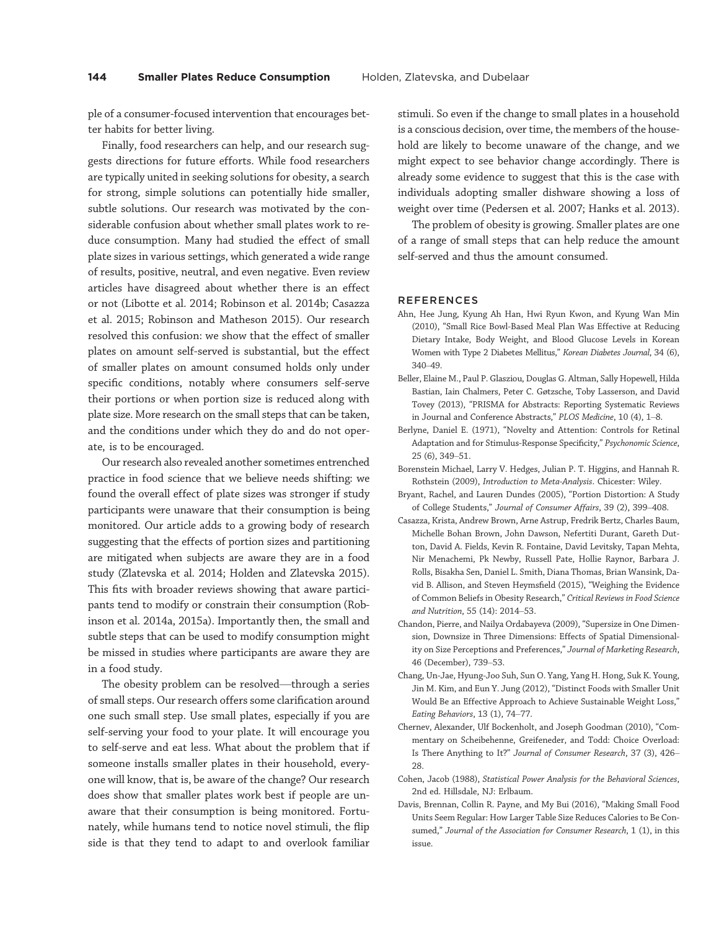ple of a consumer-focused intervention that encourages better habits for better living.

Finally, food researchers can help, and our research suggests directions for future efforts. While food researchers are typically united in seeking solutions for obesity, a search for strong, simple solutions can potentially hide smaller, subtle solutions. Our research was motivated by the considerable confusion about whether small plates work to reduce consumption. Many had studied the effect of small plate sizes in various settings, which generated a wide range of results, positive, neutral, and even negative. Even review articles have disagreed about whether there is an effect or not (Libotte et al. 2014; Robinson et al. 2014b; Casazza et al. 2015; Robinson and Matheson 2015). Our research resolved this confusion: we show that the effect of smaller plates on amount self-served is substantial, but the effect of smaller plates on amount consumed holds only under specific conditions, notably where consumers self-serve their portions or when portion size is reduced along with plate size. More research on the small steps that can be taken, and the conditions under which they do and do not operate, is to be encouraged.

Our research also revealed another sometimes entrenched practice in food science that we believe needs shifting: we found the overall effect of plate sizes was stronger if study participants were unaware that their consumption is being monitored. Our article adds to a growing body of research suggesting that the effects of portion sizes and partitioning are mitigated when subjects are aware they are in a food study (Zlatevska et al. 2014; Holden and Zlatevska 2015). This fits with broader reviews showing that aware participants tend to modify or constrain their consumption (Robinson et al. 2014a, 2015a). Importantly then, the small and subtle steps that can be used to modify consumption might be missed in studies where participants are aware they are in a food study.

The obesity problem can be resolved—through a series of small steps. Our research offers some clarification around one such small step. Use small plates, especially if you are self-serving your food to your plate. It will encourage you to self-serve and eat less. What about the problem that if someone installs smaller plates in their household, everyone will know, that is, be aware of the change? Our research does show that smaller plates work best if people are unaware that their consumption is being monitored. Fortunately, while humans tend to notice novel stimuli, the flip side is that they tend to adapt to and overlook familiar

stimuli. So even if the change to small plates in a household is a conscious decision, over time, the members of the household are likely to become unaware of the change, and we might expect to see behavior change accordingly. There is already some evidence to suggest that this is the case with individuals adopting smaller dishware showing a loss of weight over time (Pedersen et al. 2007; Hanks et al. 2013).

The problem of obesity is growing. Smaller plates are one of a range of small steps that can help reduce the amount self-served and thus the amount consumed.

#### REFERENCES

- Ahn, Hee Jung, Kyung Ah Han, Hwi Ryun Kwon, and Kyung Wan Min (2010), "Small Rice Bowl-Based Meal Plan Was Effective at Reducing Dietary Intake, Body Weight, and Blood Glucose Levels in Korean Women with Type 2 Diabetes Mellitus," Korean Diabetes Journal, 34 (6), 340–49.
- Beller, Elaine M., Paul P. Glasziou, Douglas G. Altman, Sally Hopewell, Hilda Bastian, Iain Chalmers, Peter C. Gøtzsche, Toby Lasserson, and David Tovey (2013), "PRISMA for Abstracts: Reporting Systematic Reviews in Journal and Conference Abstracts," PLOS Medicine, 10 (4), 1–8.
- Berlyne, Daniel E. (1971), "Novelty and Attention: Controls for Retinal Adaptation and for Stimulus-Response Specificity," Psychonomic Science, 25 (6), 349–51.
- Borenstein Michael, Larry V. Hedges, Julian P. T. Higgins, and Hannah R. Rothstein (2009), Introduction to Meta-Analysis. Chicester: Wiley.
- Bryant, Rachel, and Lauren Dundes (2005), "Portion Distortion: A Study of College Students," Journal of Consumer Affairs, 39 (2), 399–408.
- Casazza, Krista, Andrew Brown, Arne Astrup, Fredrik Bertz, Charles Baum, Michelle Bohan Brown, John Dawson, Nefertiti Durant, Gareth Dutton, David A. Fields, Kevin R. Fontaine, David Levitsky, Tapan Mehta, Nir Menachemi, Pk Newby, Russell Pate, Hollie Raynor, Barbara J. Rolls, Bisakha Sen, Daniel L. Smith, Diana Thomas, Brian Wansink, David B. Allison, and Steven Heymsfield (2015), "Weighing the Evidence of Common Beliefs in Obesity Research," Critical Reviews in Food Science and Nutrition, 55 (14): 2014–53.
- Chandon, Pierre, and Nailya Ordabayeva (2009), "Supersize in One Dimension, Downsize in Three Dimensions: Effects of Spatial Dimensionality on Size Perceptions and Preferences," Journal of Marketing Research, 46 (December), 739–53.
- Chang, Un-Jae, Hyung-Joo Suh, Sun O. Yang, Yang H. Hong, Suk K. Young, Jin M. Kim, and Eun Y. Jung (2012), "Distinct Foods with Smaller Unit Would Be an Effective Approach to Achieve Sustainable Weight Loss," Eating Behaviors, 13 (1), 74–77.
- Chernev, Alexander, Ulf Bockenholt, and Joseph Goodman (2010), "Commentary on Scheibehenne, Greifeneder, and Todd: Choice Overload: Is There Anything to It?" Journal of Consumer Research, 37 (3), 426– 28.
- Cohen, Jacob (1988), Statistical Power Analysis for the Behavioral Sciences, 2nd ed. Hillsdale, NJ: Erlbaum.
- Davis, Brennan, Collin R. Payne, and My Bui (2016), "Making Small Food Units Seem Regular: How Larger Table Size Reduces Calories to Be Consumed," Journal of the Association for Consumer Research, 1 (1), in this issue.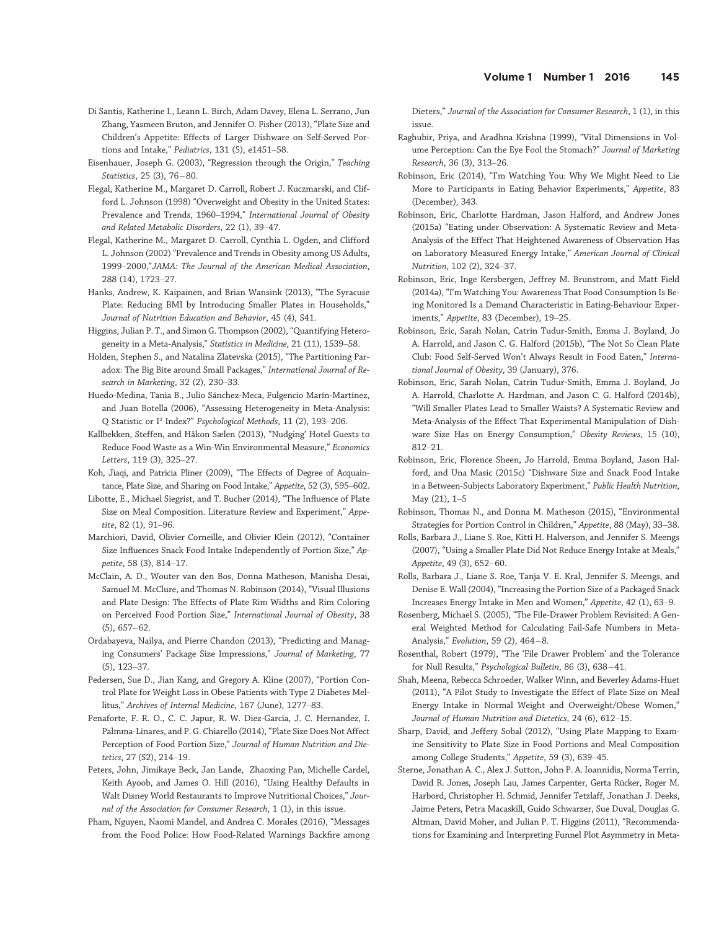- Di Santis, Katherine I., Leann L. Birch, Adam Davey, Elena L. Serrano, Jun Zhang, Yasmeen Bruton, and Jennifer O. Fisher (2013), "Plate Size and Children's Appetite: Effects of Larger Dishware on Self-Served Portions and Intake," Pediatrics, 131 (5), e1451–58.
- Eisenhauer, Joseph G. (2003), "Regression through the Origin," Teaching Statistics, 25 (3), 76–80.
- Flegal, Katherine M., Margaret D. Carroll, Robert J. Kuczmarski, and Clifford L. Johnson (1998) "Overweight and Obesity in the United States: Prevalence and Trends, 1960–1994," International Journal of Obesity and Related Metabolic Disorders, 22 (1), 39–47.
- Flegal, Katherine M., Margaret D. Carroll, Cynthia L. Ogden, and Clifford L. Johnson (2002) "Prevalence and Trends in Obesity among US Adults, 1999–2000,"JAMA: The Journal of the American Medical Association, 288 (14), 1723–27.
- Hanks, Andrew, K. Kaipainen, and Brian Wansink (2013), "The Syracuse Plate: Reducing BMI by Introducing Smaller Plates in Households," Journal of Nutrition Education and Behavior, 45 (4), S41.
- Higgins, Julian P. T., and Simon G. Thompson (2002), "Quantifying Heterogeneity in a Meta-Analysis," Statistics in Medicine, 21 (11), 1539–58.
- Holden, Stephen S., and Natalina Zlatevska (2015), "The Partitioning Paradox: The Big Bite around Small Packages," International Journal of Research in Marketing, 32 (2), 230–33.
- Huedo-Medina, Tania B., Julio Sánchez-Meca, Fulgencio Marín-Martínez, and Juan Botella (2006), "Assessing Heterogeneity in Meta-Analysis: Q Statistic or I2 Index?" Psychological Methods, 11 (2), 193–206.
- Kallbekken, Steffen, and Håkon Sælen (2013), "Nudging' Hotel Guests to Reduce Food Waste as a Win-Win Environmental Measure," Economics Letters, 119 (3), 325–27.
- Koh, Jiaqi, and Patricia Pliner (2009), "The Effects of Degree of Acquaintance, Plate Size, and Sharing on Food Intake," Appetite, 52 (3), 595–602.
- Libotte, E., Michael Siegrist, and T. Bucher (2014), "The Influence of Plate Size on Meal Composition. Literature Review and Experiment," Appetite, 82 (1), 91–96.
- Marchiori, David, Olivier Corneille, and Olivier Klein (2012), "Container Size Influences Snack Food Intake Independently of Portion Size," Appetite, 58 (3), 814–17.
- McClain, A. D., Wouter van den Bos, Donna Matheson, Manisha Desai, Samuel M. McClure, and Thomas N. Robinson (2014), "Visual Illusions and Plate Design: The Effects of Plate Rim Widths and Rim Coloring on Perceived Food Portion Size," International Journal of Obesity, 38 (5), 657–62.
- Ordabayeva, Nailya, and Pierre Chandon (2013), "Predicting and Managing Consumers' Package Size Impressions," Journal of Marketing, 77 (5), 123–37.
- Pedersen, Sue D., Jian Kang, and Gregory A. Kline (2007), "Portion Control Plate for Weight Loss in Obese Patients with Type 2 Diabetes Mellitus," Archives of Internal Medicine, 167 (June), 1277–83.
- Penaforte, F. R. O., C. C. Japur, R. W. Diez-Garcia, J. C. Hernandez, I. Palmma-Linares, and P. G. Chiarello (2014), "Plate Size Does Not Affect Perception of Food Portion Size," Journal of Human Nutrition and Dietetics, 27 (S2), 214–19.
- Peters, John, Jimikaye Beck, Jan Lande, Zhaoxing Pan, Michelle Cardel, Keith Ayoob, and James O. Hill (2016), "Using Healthy Defaults in Walt Disney World Restaurants to Improve Nutritional Choices," Journal of the Association for Consumer Research, 1 (1), in this issue.
- Pham, Nguyen, Naomi Mandel, and Andrea C. Morales (2016), "Messages from the Food Police: How Food-Related Warnings Backfire among

Dieters," Journal of the Association for Consumer Research, 1 (1), in this issue.

- Raghubir, Priya, and Aradhna Krishna (1999), "Vital Dimensions in Volume Perception: Can the Eye Fool the Stomach?" Journal of Marketing Research, 36 (3), 313–26.
- Robinson, Eric (2014), "I'm Watching You: Why We Might Need to Lie More to Participants in Eating Behavior Experiments," Appetite, 83 (December), 343.
- Robinson, Eric, Charlotte Hardman, Jason Halford, and Andrew Jones (2015a) "Eating under Observation: A Systematic Review and Meta-Analysis of the Effect That Heightened Awareness of Observation Has on Laboratory Measured Energy Intake," American Journal of Clinical Nutrition, 102 (2), 324–37.
- Robinson, Eric, Inge Kersbergen, Jeffrey M. Brunstrom, and Matt Field (2014a), "I'm Watching You: Awareness That Food Consumption Is Being Monitored Is a Demand Characteristic in Eating-Behaviour Experiments," Appetite, 83 (December), 19–25.
- Robinson, Eric, Sarah Nolan, Catrin Tudur-Smith, Emma J. Boyland, Jo A. Harrold, and Jason C. G. Halford (2015b), "The Not So Clean Plate Club: Food Self-Served Won't Always Result in Food Eaten," International Journal of Obesity, 39 (January), 376.
- Robinson, Eric, Sarah Nolan, Catrin Tudur-Smith, Emma J. Boyland, Jo A. Harrold, Charlotte A. Hardman, and Jason C. G. Halford (2014b), "Will Smaller Plates Lead to Smaller Waists? A Systematic Review and Meta-Analysis of the Effect That Experimental Manipulation of Dishware Size Has on Energy Consumption," Obesity Reviews, 15 (10), 812–21.
- Robinson, Eric, Florence Sheen, Jo Harrold, Emma Boyland, Jason Halford, and Una Masic (2015c) "Dishware Size and Snack Food Intake in a Between-Subjects Laboratory Experiment," Public Health Nutrition, May (21), 1–5
- Robinson, Thomas N., and Donna M. Matheson (2015), "Environmental Strategies for Portion Control in Children," Appetite, 88 (May), 33–38.
- Rolls, Barbara J., Liane S. Roe, Kitti H. Halverson, and Jennifer S. Meengs (2007), "Using a Smaller Plate Did Not Reduce Energy Intake at Meals," Appetite, 49 (3), 652-60.
- Rolls, Barbara J., Liane S. Roe, Tanja V. E. Kral, Jennifer S. Meengs, and Denise E. Wall (2004), "Increasing the Portion Size of a Packaged Snack Increases Energy Intake in Men and Women," Appetite, 42 (1), 63–9.
- Rosenberg, Michael S. (2005), "The File-Drawer Problem Revisited: A General Weighted Method for Calculating Fail-Safe Numbers in Meta-Analysis," Evolution, 59 (2), 464–8.
- Rosenthal, Robert (1979), "The 'File Drawer Problem' and the Tolerance for Null Results," Psychological Bulletin, 86 (3), 638–41.
- Shah, Meena, Rebecca Schroeder, Walker Winn, and Beverley Adams-Huet (2011), "A Pilot Study to Investigate the Effect of Plate Size on Meal Energy Intake in Normal Weight and Overweight/Obese Women," Journal of Human Nutrition and Dietetics, 24 (6), 612–15.
- Sharp, David, and Jeffery Sobal (2012), "Using Plate Mapping to Examine Sensitivity to Plate Size in Food Portions and Meal Composition among College Students," Appetite, 59 (3), 639–45.
- Sterne, Jonathan A. C., Alex J. Sutton, John P. A. Ioannidis, Norma Terrin, David R. Jones, Joseph Lau, James Carpenter, Gerta Rücker, Roger M. Harbord, Christopher H. Schmid, Jennifer Tetzlaff, Jonathan J. Deeks, Jaime Peters, Petra Macaskill, Guido Schwarzer, Sue Duval, Douglas G. Altman, David Moher, and Julian P. T. Higgins (2011), "Recommendations for Examining and Interpreting Funnel Plot Asymmetry in Meta-